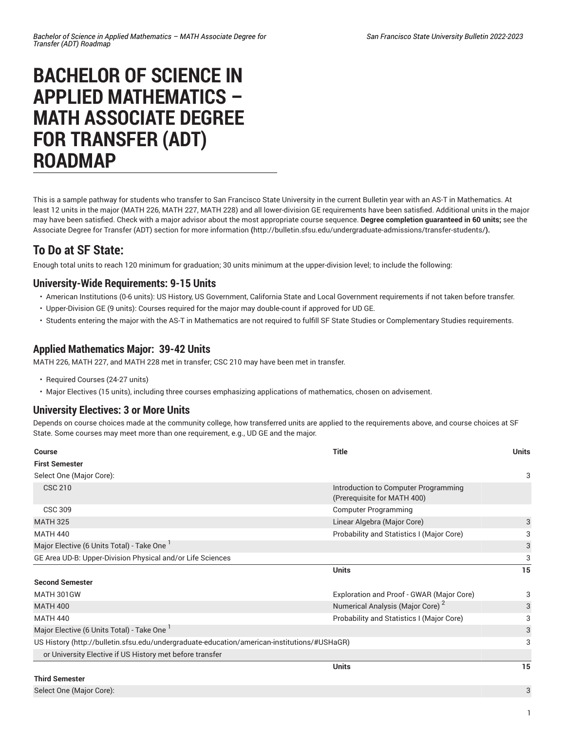# **BACHELOR OF SCIENCE IN APPLIED MATHEMATICS – MATH ASSOCIATE DEGREE FOR TRANSFER (ADT) ROADMAP**

This is a sample pathway for students who transfer to San Francisco State University in the current Bulletin year with an AS-T in Mathematics. At least 12 units in the major (MATH 226, MATH 227, MATH 228) and all lower-division GE requirements have been satisfied. Additional units in the major may have been satisfied. Check with a major advisor about the most appropriate course sequence. **Degree completion guaranteed in 60 units;** [see the](http://bulletin.sfsu.edu/undergraduate-admissions/transfer-students/) Associate Degree for Transfer (ADT) section for more [information](http://bulletin.sfsu.edu/undergraduate-admissions/transfer-students/) **(**<http://bulletin.sfsu.edu/undergraduate-admissions/transfer-students/>**).**

## **To Do at SF State:**

Enough total units to reach 120 minimum for graduation; 30 units minimum at the upper-division level; to include the following:

### **University-Wide Requirements: 9-15 Units**

- American Institutions (0-6 units): US History, US Government, California State and Local Government requirements if not taken before transfer.
- Upper-Division GE (9 units): Courses required for the major may double-count if approved for UD GE.
- Students entering the major with the AS-T in Mathematics are not required to fulfill SF State Studies or Complementary Studies requirements.

### **Applied Mathematics Major: 39-42 Units**

MATH 226, MATH 227, and MATH 228 met in transfer; CSC 210 may have been met in transfer.

- Required Courses (24-27 units)
- Major Electives (15 units), including three courses emphasizing applications of mathematics, chosen on advisement.

#### **University Electives: 3 or More Units**

Depends on course choices made at the community college, how transferred units are applied to the requirements above, and course choices at SF State. Some courses may meet more than one requirement, e.g., UD GE and the major.

| <b>Course</b>                                                                               | <b>Title</b>                                                        | <b>Units</b> |
|---------------------------------------------------------------------------------------------|---------------------------------------------------------------------|--------------|
| <b>First Semester</b>                                                                       |                                                                     |              |
| Select One (Major Core):                                                                    |                                                                     | 3            |
| <b>CSC 210</b>                                                                              | Introduction to Computer Programming<br>(Prerequisite for MATH 400) |              |
| CSC 309                                                                                     | <b>Computer Programming</b>                                         |              |
| <b>MATH 325</b>                                                                             | Linear Algebra (Major Core)                                         | 3            |
| <b>MATH 440</b>                                                                             | Probability and Statistics I (Major Core)                           | 3            |
| Major Elective (6 Units Total) - Take One '                                                 |                                                                     | 3            |
| GE Area UD-B: Upper-Division Physical and/or Life Sciences                                  |                                                                     | 3            |
|                                                                                             | <b>Units</b>                                                        | 15           |
| <b>Second Semester</b>                                                                      |                                                                     |              |
| MATH 301GW                                                                                  | Exploration and Proof - GWAR (Major Core)                           | 3            |
| <b>MATH 400</b>                                                                             | Numerical Analysis (Major Core) <sup>2</sup>                        | 3            |
| <b>MATH 440</b>                                                                             | Probability and Statistics I (Major Core)                           | 3            |
| Major Elective (6 Units Total) - Take One                                                   |                                                                     | 3            |
| US History (http://bulletin.sfsu.edu/undergraduate-education/american-institutions/#USHaGR) |                                                                     | 3            |
| or University Elective if US History met before transfer                                    |                                                                     |              |
|                                                                                             | <b>Units</b>                                                        | 15           |
| <b>Third Semester</b>                                                                       |                                                                     |              |